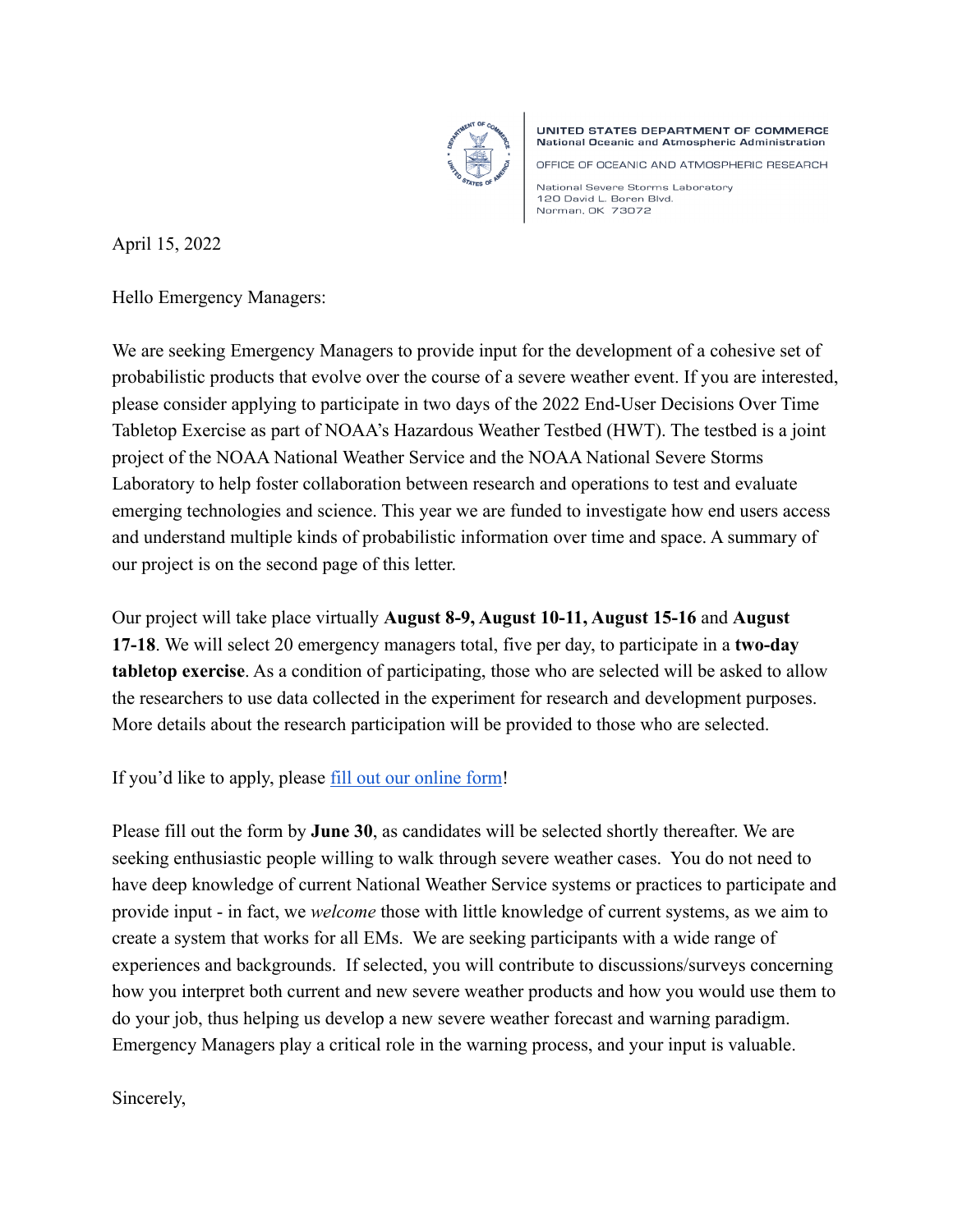

UNITED STATES DEPARTMENT OF COMMERCE National Oceanic and Atmospheric Administration

OFFICE OF OCEANIC AND ATMOSPHERIC RESEARCH

National Severe Storms Laboratory 120 David L. Boren Blvd. Norman, OK 73072

April 15, 2022

Hello Emergency Managers:

We are seeking Emergency Managers to provide input for the development of a cohesive set of probabilistic products that evolve over the course of a severe weather event. If you are interested, please consider applying to participate in two days of the 2022 End-User Decisions Over Time Tabletop Exercise as part of NOAA's Hazardous Weather Testbed (HWT). The testbed is a joint project of the NOAA National Weather Service and the NOAA National Severe Storms Laboratory to help foster collaboration between research and operations to test and evaluate emerging technologies and science. This year we are funded to investigate how end users access and understand multiple kinds of probabilistic information over time and space. A summary of our project is on the second page of this letter.

Our project will take place virtually **August 8-9, August 10-11, August 15-16** and **August 17-18**. We will select 20 emergency managers total, five per day, to participate in a **two-day tabletop exercise**. As a condition of participating, those who are selected will be asked to allow the researchers to use data collected in the experiment for research and development purposes. More details about the research participation will be provided to those who are selected.

If you'd like to apply, please [fill out our online form!](https://docs.google.com/forms/d/e/1FAIpQLSc_ZIbwhZzh3n7xYbys-7bl3SECFSaaJrC5pZb-G5iZiK-BsA/viewform?usp=sf_link)

Please fill out the form by **June 30**, as candidates will be selected shortly thereafter. We are seeking enthusiastic people willing to walk through severe weather cases. You do not need to have deep knowledge of current National Weather Service systems or practices to participate and provide input - in fact, we *welcome* those with little knowledge of current systems, as we aim to create a system that works for all EMs. We are seeking participants with a wide range of experiences and backgrounds. If selected, you will contribute to discussions/surveys concerning how you interpret both current and new severe weather products and how you would use them to do your job, thus helping us develop a new severe weather forecast and warning paradigm. Emergency Managers play a critical role in the warning process, and your input is valuable.

Sincerely,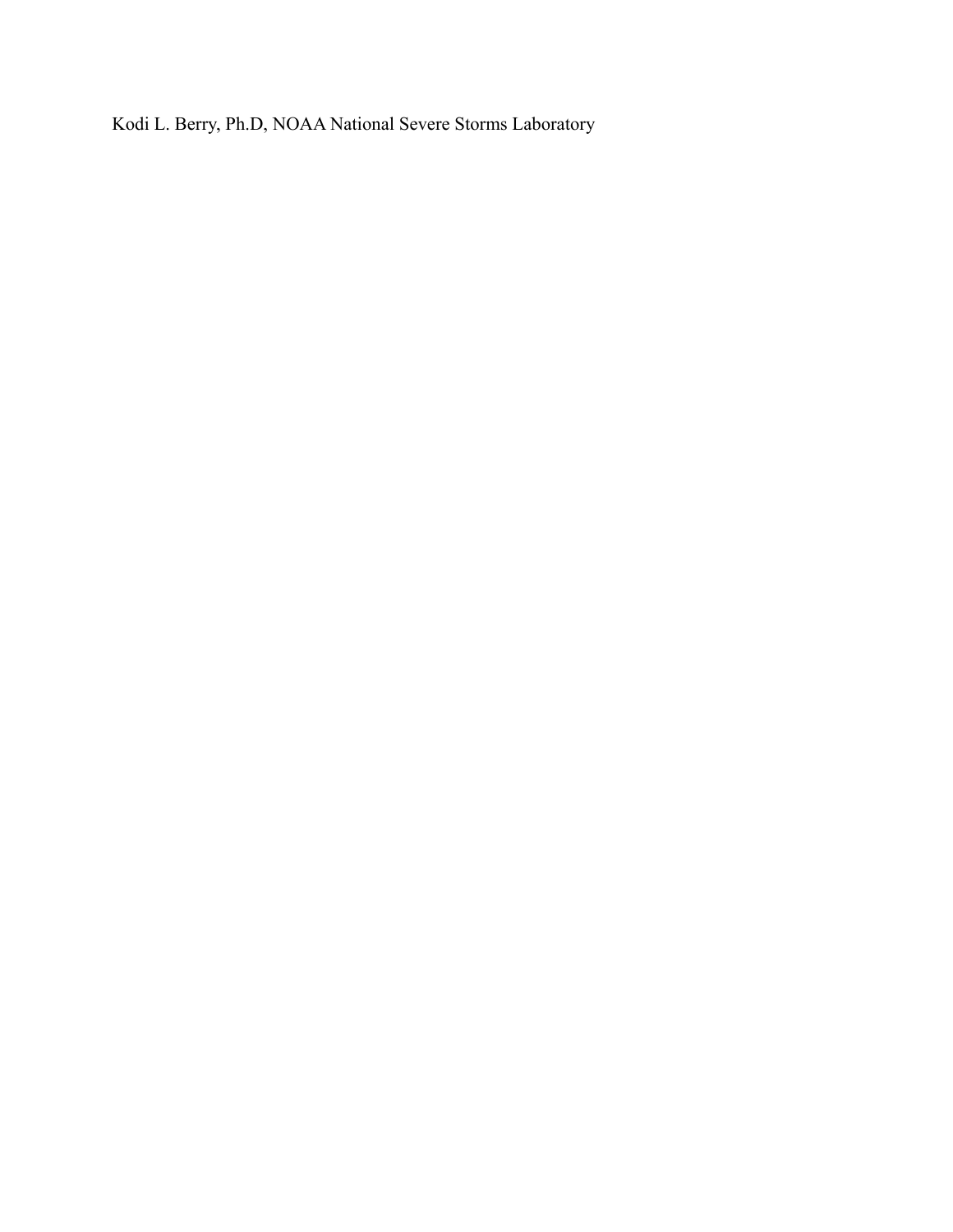Kodi L. Berry, Ph.D, NOAA National Severe Storms Laboratory